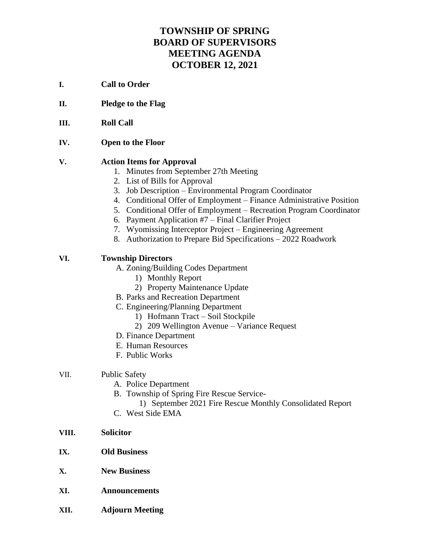# **TOWNSHIP OF SPRING BOARD OF SUPERVISORS MEETING AGENDA OCTOBER 12, 2021**

- **I. Call to Order**
- **II. Pledge to the Flag**
- **III. Roll Call**
- **IV. Open to the Floor**

#### **V. Action Items for Approval**

- 1. Minutes from September 27th Meeting
- 2. List of Bills for Approval
- 3. Job Description Environmental Program Coordinator
- 4. Conditional Offer of Employment Finance Administrative Position
- 5. Conditional Offer of Employment Recreation Program Coordinator
- 6. Payment Application #7 Final Clarifier Project
- 7. Wyomissing Interceptor Project Engineering Agreement
- 8. Authorization to Prepare Bid Specifications 2022 Roadwork

### **VI. Township Directors**

- A. Zoning/Building Codes Department
	- 1) Monthly Report
	- 2) Property Maintenance Update
- B. Parks and Recreation Department
- C. Engineering/Planning Department
	- 1) Hofmann Tract Soil Stockpile
	- 2) 209 Wellington Avenue Variance Request
- D. Finance Department
- E. Human Resources
- F. Public Works

#### VII. Public Safety

- A. Police Department
- B. Township of Spring Fire Rescue Service-
	- 1) September 2021 Fire Rescue Monthly Consolidated Report
- C. West Side EMA
- **VIII. Solicitor**
- **IX. Old Business**
- **X. New Business**
- **XI. Announcements**
- **XII. Adjourn Meeting**